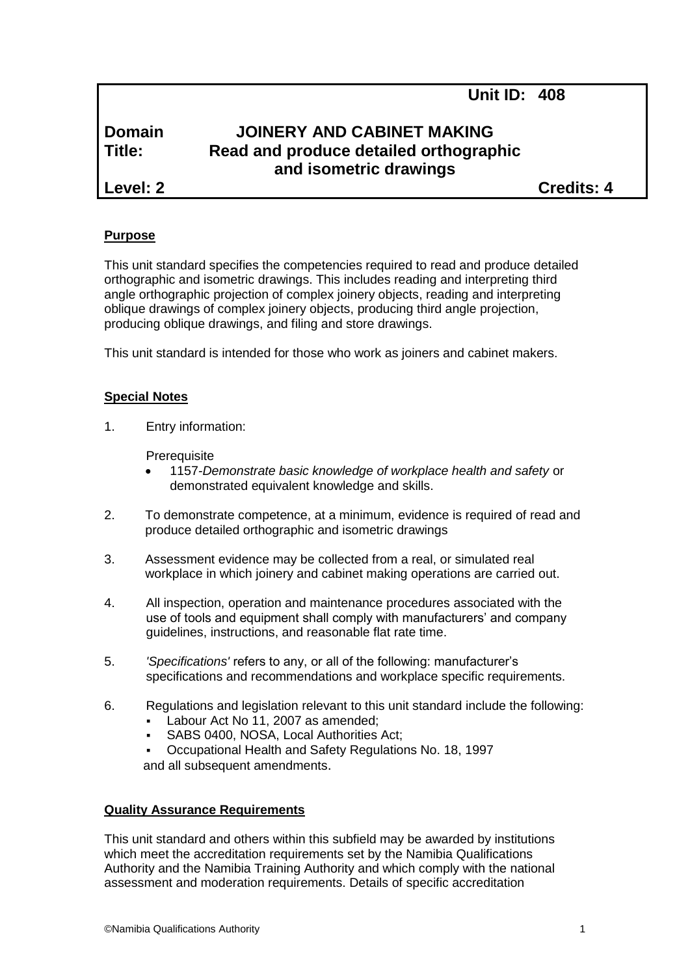# **Domain JOINERY AND CABINET MAKING Title: Read and produce detailed orthographic and isometric drawings**

**Level: 2 Credits: 4**

## **Purpose**

This unit standard specifies the competencies required to read and produce detailed orthographic and isometric drawings. This includes reading and interpreting third angle orthographic projection of complex joinery objects, reading and interpreting oblique drawings of complex joinery objects, producing third angle projection, producing oblique drawings, and filing and store drawings.

This unit standard is intended for those who work as joiners and cabinet makers.

## **Special Notes**

1. Entry information:

**Prerequisite** 

- 1157*-Demonstrate basic knowledge of workplace health and safety* or demonstrated equivalent knowledge and skills.
- 2. To demonstrate competence, at a minimum, evidence is required of read and produce detailed orthographic and isometric drawings
- 3. Assessment evidence may be collected from a real, or simulated real workplace in which joinery and cabinet making operations are carried out.
- 4. All inspection, operation and maintenance procedures associated with the use of tools and equipment shall comply with manufacturers' and company guidelines, instructions, and reasonable flat rate time.
- 5. *'Specifications'* refers to any, or all of the following: manufacturer's specifications and recommendations and workplace specific requirements.
- 6. Regulations and legislation relevant to this unit standard include the following:
	- Labour Act No 11, 2007 as amended;
	- SABS 0400, NOSA, Local Authorities Act;
	- Occupational Health and Safety Regulations No. 18, 1997 and all subsequent amendments.

## **Quality Assurance Requirements**

This unit standard and others within this subfield may be awarded by institutions which meet the accreditation requirements set by the Namibia Qualifications Authority and the Namibia Training Authority and which comply with the national assessment and moderation requirements. Details of specific accreditation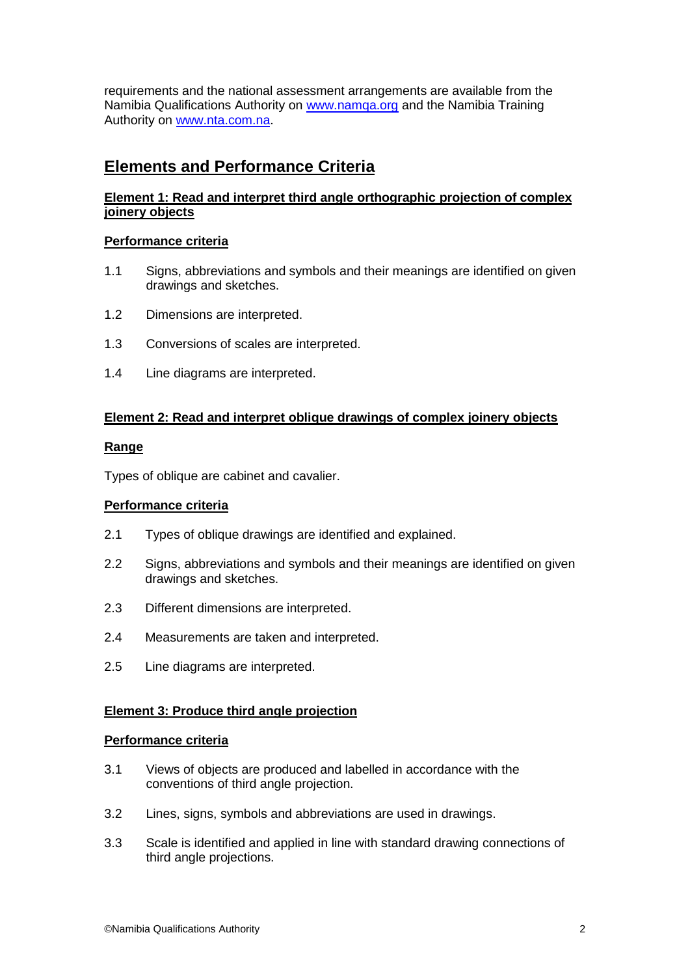requirements and the national assessment arrangements are available from the Namibia Qualifications Authority on [www.namqa.org](http://www.namqa.org/) and the Namibia Training Authority on [www.nta.com.na.](http://www.nta.com.na/)

# **Elements and Performance Criteria**

## **Element 1: Read and interpret third angle orthographic projection of complex joinery objects**

## **Performance criteria**

- 1.1 Signs, abbreviations and symbols and their meanings are identified on given drawings and sketches.
- 1.2 Dimensions are interpreted.
- 1.3 Conversions of scales are interpreted.
- 1.4 Line diagrams are interpreted.

## **Element 2: Read and interpret oblique drawings of complex joinery objects**

### **Range**

Types of oblique are cabinet and cavalier.

## **Performance criteria**

- 2.1 Types of oblique drawings are identified and explained.
- 2.2 Signs, abbreviations and symbols and their meanings are identified on given drawings and sketches.
- 2.3 Different dimensions are interpreted.
- 2.4 Measurements are taken and interpreted.
- 2.5 Line diagrams are interpreted.

### **Element 3: Produce third angle projection**

### **Performance criteria**

- 3.1 Views of objects are produced and labelled in accordance with the conventions of third angle projection.
- 3.2 Lines, signs, symbols and abbreviations are used in drawings.
- 3.3 Scale is identified and applied in line with standard drawing connections of third angle projections.